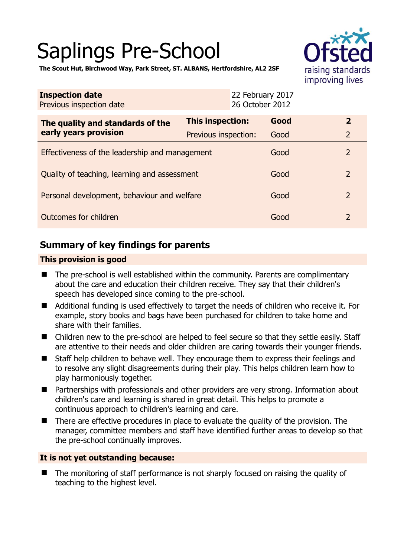# Saplings Pre-School



**The Scout Hut, Birchwood Way, Park Street, ST. ALBANS, Hertfordshire, AL2 2SF** 

| <b>Inspection date</b><br>Previous inspection date        | 22 February 2017<br>26 October 2012 |      |                |
|-----------------------------------------------------------|-------------------------------------|------|----------------|
| The quality and standards of the<br>early years provision | This inspection:                    | Good | $\mathbf{2}$   |
|                                                           | Previous inspection:                | Good | $\overline{2}$ |
| Effectiveness of the leadership and management            |                                     | Good | $\overline{2}$ |
| Quality of teaching, learning and assessment              |                                     | Good | $\overline{2}$ |
| Personal development, behaviour and welfare               |                                     | Good | $\overline{2}$ |
| Outcomes for children                                     |                                     | Good | $\overline{2}$ |

# **Summary of key findings for parents**

### **This provision is good**

- The pre-school is well established within the community. Parents are complimentary about the care and education their children receive. They say that their children's speech has developed since coming to the pre-school.
- Additional funding is used effectively to target the needs of children who receive it. For example, story books and bags have been purchased for children to take home and share with their families.
- Children new to the pre-school are helped to feel secure so that they settle easily. Staff are attentive to their needs and older children are caring towards their younger friends.
- Staff help children to behave well. They encourage them to express their feelings and to resolve any slight disagreements during their play. This helps children learn how to play harmoniously together.
- Partnerships with professionals and other providers are very strong. Information about children's care and learning is shared in great detail. This helps to promote a continuous approach to children's learning and care.
- There are effective procedures in place to evaluate the quality of the provision. The manager, committee members and staff have identified further areas to develop so that the pre-school continually improves.

## **It is not yet outstanding because:**

 The monitoring of staff performance is not sharply focused on raising the quality of teaching to the highest level.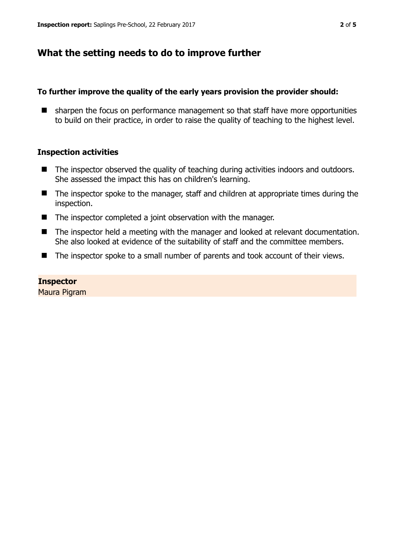## **What the setting needs to do to improve further**

#### **To further improve the quality of the early years provision the provider should:**

■ sharpen the focus on performance management so that staff have more opportunities to build on their practice, in order to raise the quality of teaching to the highest level.

#### **Inspection activities**

- The inspector observed the quality of teaching during activities indoors and outdoors. She assessed the impact this has on children's learning.
- The inspector spoke to the manager, staff and children at appropriate times during the inspection.
- The inspector completed a joint observation with the manager.
- The inspector held a meeting with the manager and looked at relevant documentation. She also looked at evidence of the suitability of staff and the committee members.
- The inspector spoke to a small number of parents and took account of their views.

#### **Inspector**

Maura Pigram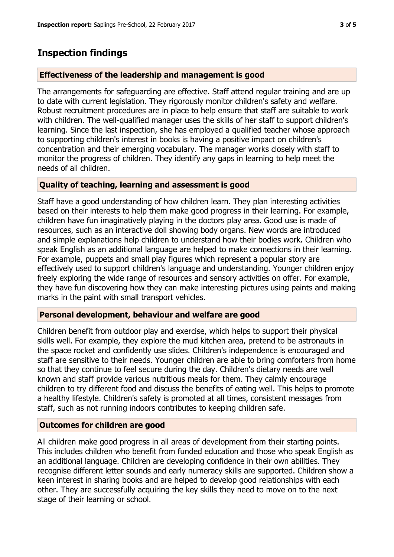## **Inspection findings**

#### **Effectiveness of the leadership and management is good**

The arrangements for safeguarding are effective. Staff attend regular training and are up to date with current legislation. They rigorously monitor children's safety and welfare. Robust recruitment procedures are in place to help ensure that staff are suitable to work with children. The well-qualified manager uses the skills of her staff to support children's learning. Since the last inspection, she has employed a qualified teacher whose approach to supporting children's interest in books is having a positive impact on children's concentration and their emerging vocabulary. The manager works closely with staff to monitor the progress of children. They identify any gaps in learning to help meet the needs of all children.

#### **Quality of teaching, learning and assessment is good**

Staff have a good understanding of how children learn. They plan interesting activities based on their interests to help them make good progress in their learning. For example, children have fun imaginatively playing in the doctors play area. Good use is made of resources, such as an interactive doll showing body organs. New words are introduced and simple explanations help children to understand how their bodies work. Children who speak English as an additional language are helped to make connections in their learning. For example, puppets and small play figures which represent a popular story are effectively used to support children's language and understanding. Younger children enjoy freely exploring the wide range of resources and sensory activities on offer. For example, they have fun discovering how they can make interesting pictures using paints and making marks in the paint with small transport vehicles.

#### **Personal development, behaviour and welfare are good**

Children benefit from outdoor play and exercise, which helps to support their physical skills well. For example, they explore the mud kitchen area, pretend to be astronauts in the space rocket and confidently use slides. Children's independence is encouraged and staff are sensitive to their needs. Younger children are able to bring comforters from home so that they continue to feel secure during the day. Children's dietary needs are well known and staff provide various nutritious meals for them. They calmly encourage children to try different food and discuss the benefits of eating well. This helps to promote a healthy lifestyle. Children's safety is promoted at all times, consistent messages from staff, such as not running indoors contributes to keeping children safe.

#### **Outcomes for children are good**

All children make good progress in all areas of development from their starting points. This includes children who benefit from funded education and those who speak English as an additional language. Children are developing confidence in their own abilities. They recognise different letter sounds and early numeracy skills are supported. Children show a keen interest in sharing books and are helped to develop good relationships with each other. They are successfully acquiring the key skills they need to move on to the next stage of their learning or school.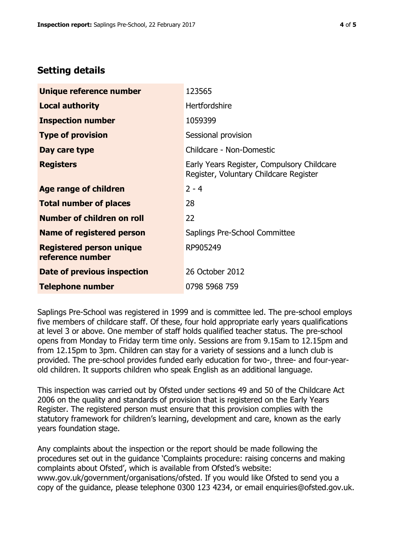## **Setting details**

| Unique reference number                             | 123565                                                                               |  |
|-----------------------------------------------------|--------------------------------------------------------------------------------------|--|
| <b>Local authority</b>                              | Hertfordshire                                                                        |  |
| <b>Inspection number</b>                            | 1059399                                                                              |  |
| <b>Type of provision</b>                            | Sessional provision                                                                  |  |
| Day care type                                       | Childcare - Non-Domestic                                                             |  |
| <b>Registers</b>                                    | Early Years Register, Compulsory Childcare<br>Register, Voluntary Childcare Register |  |
| Age range of children                               | $2 - 4$                                                                              |  |
| <b>Total number of places</b>                       | 28                                                                                   |  |
| Number of children on roll                          | 22                                                                                   |  |
| <b>Name of registered person</b>                    | Saplings Pre-School Committee                                                        |  |
| <b>Registered person unique</b><br>reference number | RP905249                                                                             |  |
| Date of previous inspection                         | 26 October 2012                                                                      |  |
| <b>Telephone number</b>                             | 0798 5968 759                                                                        |  |

Saplings Pre-School was registered in 1999 and is committee led. The pre-school employs five members of childcare staff. Of these, four hold appropriate early years qualifications at level 3 or above. One member of staff holds qualified teacher status. The pre-school opens from Monday to Friday term time only. Sessions are from 9.15am to 12.15pm and from 12.15pm to 3pm. Children can stay for a variety of sessions and a lunch club is provided. The pre-school provides funded early education for two-, three- and four-yearold children. It supports children who speak English as an additional language.

This inspection was carried out by Ofsted under sections 49 and 50 of the Childcare Act 2006 on the quality and standards of provision that is registered on the Early Years Register. The registered person must ensure that this provision complies with the statutory framework for children's learning, development and care, known as the early years foundation stage.

Any complaints about the inspection or the report should be made following the procedures set out in the guidance 'Complaints procedure: raising concerns and making complaints about Ofsted', which is available from Ofsted's website: www.gov.uk/government/organisations/ofsted. If you would like Ofsted to send you a copy of the guidance, please telephone 0300 123 4234, or email enquiries@ofsted.gov.uk.